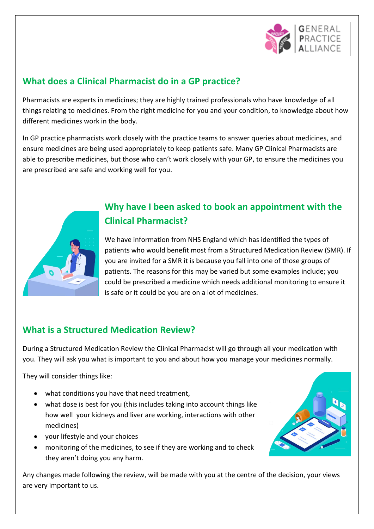

#### **What does a Clinical Pharmacist do in a GP practice?**

Pharmacists are experts in medicines; they are highly trained professionals who have knowledge of all things relating to medicines. From the right medicine for you and your condition, to knowledge about how different medicines work in the body.

In GP practice pharmacists work closely with the practice teams to answer queries about medicines, and ensure medicines are being used appropriately to keep patients safe. Many GP Clinical Pharmacists are able to prescribe medicines, but those who can't work closely with your GP, to ensure the medicines you are prescribed are safe and working well for you.



# **Why have I been asked to book an appointment with the Clinical Pharmacist?**

We have information from NHS England which has identified the types of patients who would benefit most from a Structured Medication Review (SMR). If you are invited for a SMR it is because you fall into one of those groups of patients. The reasons for this may be varied but some examples include; you could be prescribed a medicine which needs additional monitoring to ensure it is safe or it could be you are on a lot of medicines.

### **What is a Structured Medication Review?**

During a Structured Medication Review the Clinical Pharmacist will go through all your medication with you. They will ask you what is important to you and about how you manage your medicines normally.

They will consider things like:

- what conditions you have that need treatment,
- what dose is best for you (this includes taking into account things like how well your kidneys and liver are working, interactions with other medicines)
- your lifestyle and your choices
- monitoring of the medicines, to see if they are working and to check they aren't doing you any harm.

Any changes made following the review, will be made with you at the centre of the decision, your views are very important to us.